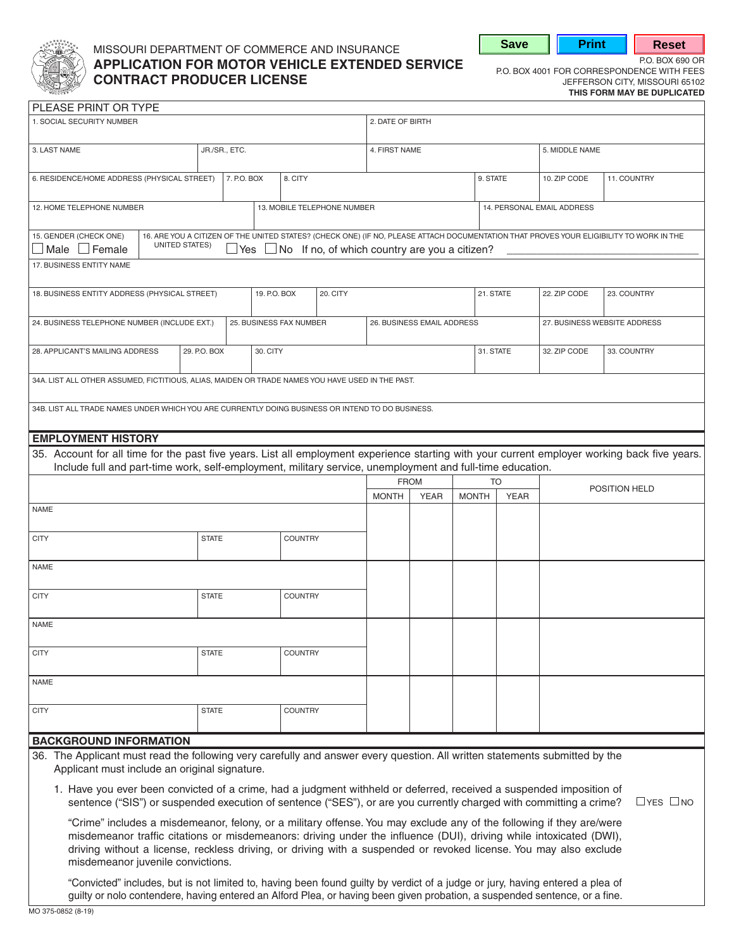

# MISSOURI DEPARTMENT OF COMMERCE AND INSURANCE **APPLICATION FOR MOTOR VEHICLE EXTENDED SERVICE** P.O. BOX 4001 FOR CORRESPONDENCE WITH FEES **CONTRACT PRODUCER LICENSE**<br>
JEFFERSON CITY, MISSOURI 65102<br>
THIS FORM MAY BE DUPLICATED

**Save | Print | Reset** 

|  |  |  | THIS FORM MAY BE DUPLICATED |  |
|--|--|--|-----------------------------|--|

| 5. MIDDLE NAME                                                                                                                                |  |  |
|-----------------------------------------------------------------------------------------------------------------------------------------------|--|--|
| 11. COUNTRY                                                                                                                                   |  |  |
| 14. PERSONAL EMAIL ADDRESS<br>13. MOBILE TELEPHONE NUMBER                                                                                     |  |  |
| 16. ARE YOU A CITIZEN OF THE UNITED STATES? (CHECK ONE) (IF NO, PLEASE ATTACH DOCUMENTATION THAT PROVES YOUR ELIGIBILITY TO WORK IN THE       |  |  |
|                                                                                                                                               |  |  |
|                                                                                                                                               |  |  |
| 27. BUSINESS WEBSITE ADDRESS                                                                                                                  |  |  |
|                                                                                                                                               |  |  |
|                                                                                                                                               |  |  |
|                                                                                                                                               |  |  |
|                                                                                                                                               |  |  |
| 35. Account for all time for the past five years. List all employment experience starting with your current employer working back five years. |  |  |
|                                                                                                                                               |  |  |
| POSITION HELD                                                                                                                                 |  |  |
|                                                                                                                                               |  |  |
|                                                                                                                                               |  |  |
|                                                                                                                                               |  |  |
|                                                                                                                                               |  |  |
|                                                                                                                                               |  |  |
|                                                                                                                                               |  |  |
|                                                                                                                                               |  |  |
|                                                                                                                                               |  |  |
|                                                                                                                                               |  |  |
|                                                                                                                                               |  |  |
|                                                                                                                                               |  |  |
| $\Box$ YES $\Box$ NO                                                                                                                          |  |  |
| 23. COUNTRY<br>33. COUNTRY                                                                                                                    |  |  |

driving without a license, reckless driving, or driving with a suspended or revoked license. You may also exclude misdemeanor juvenile convictions.

"Convicted" includes, but is not limited to, having been found guilty by verdict of a judge or jury, having entered a plea of guilty or nolo contendere, having entered an Alford Plea, or having been given probation, a suspended sentence, or a fine.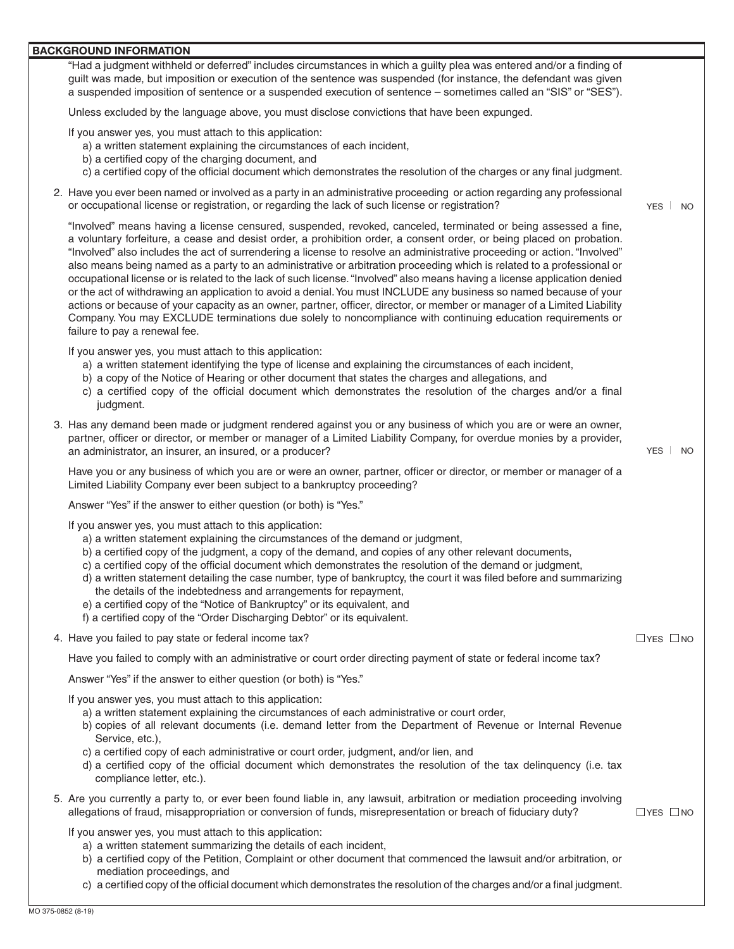#### **BACKGROUND INFORMATION**

"Had a judgment withheld or deferred" includes circumstances in which a guilty plea was entered and/or a finding of guilt was made, but imposition or execution of the sentence was suspended (for instance, the defendant was given a suspended imposition of sentence or a suspended execution of sentence – sometimes called an "SIS" or "SES").

Unless excluded by the language above, you must disclose convictions that have been expunged.

If you answer yes, you must attach to this application:

- a) a written statement explaining the circumstances of each incident,
- b) a certified copy of the charging document, and
- c) a certified copy of the official document which demonstrates the resolution of the charges or any final judgment.
- 2. Have you ever been named or involved as a party in an administrative proceeding or action regarding any professional or occupational license or registration, or regarding the lack of such license or registration? YES NO

 "Involved" also includes the act of surrendering a license to resolve an administrative proceeding or action. "Involved" "Involved" means having a license censured, suspended, revoked, canceled, terminated or being assessed a fine, a voluntary forfeiture, a cease and desist order, a prohibition order, a consent order, or being placed on probation. also means being named as a party to an administrative or arbitration proceeding which is related to a professional or occupational license or is related to the lack of such license. "Involved" also means having a license application denied or the act of withdrawing an application to avoid a denial.You must INCLUDE any business so named because of your actions or because of your capacity as an owner, partner, officer, director, or member or manager of a Limited Liability Company. You may EXCLUDE terminations due solely to noncompliance with continuing education requirements or failure to pay a renewal fee.

If you answer yes, you must attach to this application:

- a) a written statement identifying the type of license and explaining the circumstances of each incident,
- b) a copy of the Notice of Hearing or other document that states the charges and allegations, and
- c) a certified copy of the official document which demonstrates the resolution of the charges and/or a final judgment.
- 3. Has any demand been made or judgment rendered against you or any business of which you are or were an owner, partner, officer or director, or member or manager of a Limited Liability Company, for overdue monies by a provider, an administrator, an insurer, an insured, or a producer? The example of the example of the example of the example of the example of the example of the example of the example of the example of the example of the example of

Have you or any business of which you are or were an owner, partner, officer or director, or member or manager of a Limited Liability Company ever been subject to a bankruptcy proceeding?

Answer "Yes" if the answer to either question (or both) is "Yes."

If you answer yes, you must attach to this application:

- a) a written statement explaining the circumstances of the demand or judgment,
- b) a certified copy of the judgment, a copy of the demand, and copies of any other relevant documents,
- c) a certified copy of the official document which demonstrates the resolution of the demand or judgment,
- d) a written statement detailing the case number, type of bankruptcy, the court it was filed before and summarizing the details of the indebtedness and arrangements for repayment,
- e) a certified copy of the "Notice of Bankruptcy" or its equivalent, and
- f) a certified copy of the "Order Discharging Debtor" or its equivalent.
- 4. Have you failed to pay state or federal income tax?  $\Box$  YES  $\Box$  NO

Have you failed to comply with an administrative or court order directing payment of state or federal income tax?

Answer "Yes" if the answer to either question (or both) is "Yes."

If you answer yes, you must attach to this application:

- a) a written statement explaining the circumstances of each administrative or court order,
- b) copies of all relevant documents (i.e. demand letter from the Department of Revenue or Internal Revenue Service, etc.),
- c) a certified copy of each administrative or court order, judgment, and/or lien, and
- d) a certified copy of the official document which demonstrates the resolution of the tax delinquency (i.e. tax compliance letter, etc.).
- 5. Are you currently a party to, or ever been found liable in, any lawsuit, arbitration or mediation proceeding involving allegations of fraud, misappropriation or conversion of funds, misrepresentation or breach of fiduciary duty?  $\Box$  YES  $\Box$  NO
	- If you answer yes, you must attach to this application:
		- a) a written statement summarizing the details of each incident,
		- b) a certified copy of the Petition, Complaint or other document that commenced the lawsuit and/or arbitration, or mediation proceedings, and
		- c) a certified copy of the official document which demonstrates the resolution of the charges and/or a final judgment.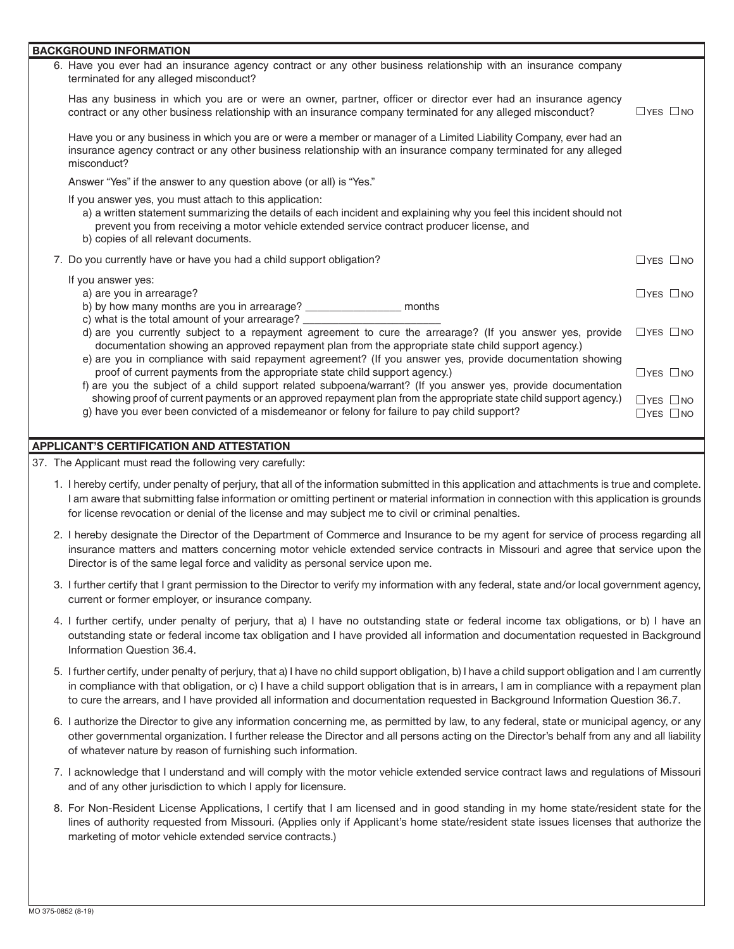| <b>BACKGROUND INFORMATION</b> |                                                                                                                                                                                                                                                                                                                                                                                         |                                              |  |  |  |  |
|-------------------------------|-----------------------------------------------------------------------------------------------------------------------------------------------------------------------------------------------------------------------------------------------------------------------------------------------------------------------------------------------------------------------------------------|----------------------------------------------|--|--|--|--|
|                               | 6. Have you ever had an insurance agency contract or any other business relationship with an insurance company<br>terminated for any alleged misconduct?                                                                                                                                                                                                                                |                                              |  |  |  |  |
|                               | Has any business in which you are or were an owner, partner, officer or director ever had an insurance agency<br>contract or any other business relationship with an insurance company terminated for any alleged misconduct?                                                                                                                                                           | $\Box$ YES $\Box$ NO                         |  |  |  |  |
|                               | Have you or any business in which you are or were a member or manager of a Limited Liability Company, ever had an<br>insurance agency contract or any other business relationship with an insurance company terminated for any alleged<br>misconduct?                                                                                                                                   |                                              |  |  |  |  |
|                               | Answer "Yes" if the answer to any question above (or all) is "Yes."                                                                                                                                                                                                                                                                                                                     |                                              |  |  |  |  |
|                               | If you answer yes, you must attach to this application:<br>a) a written statement summarizing the details of each incident and explaining why you feel this incident should not<br>prevent you from receiving a motor vehicle extended service contract producer license, and<br>b) copies of all relevant documents.                                                                   |                                              |  |  |  |  |
|                               | 7. Do you currently have or have you had a child support obligation?                                                                                                                                                                                                                                                                                                                    | $\Box$ YES $\Box$ NO                         |  |  |  |  |
|                               | If you answer yes:<br>a) are you in arrearage?<br>b) by how many months are you in arrearage? ____________________ months                                                                                                                                                                                                                                                               |                                              |  |  |  |  |
|                               | c) what is the total amount of your arrearage? _________<br>d) are you currently subject to a repayment agreement to cure the arrearage? (If you answer yes, provide<br>documentation showing an approved repayment plan from the appropriate state child support agency.)<br>e) are you in compliance with said repayment agreement? (If you answer yes, provide documentation showing | $\Box$ YES $\Box$ NO                         |  |  |  |  |
|                               | proof of current payments from the appropriate state child support agency.)<br>f) are you the subject of a child support related subpoena/warrant? (If you answer yes, provide documentation                                                                                                                                                                                            | $\Box$ YES $\Box$ NO                         |  |  |  |  |
|                               | showing proof of current payments or an approved repayment plan from the appropriate state child support agency.)<br>g) have you ever been convicted of a misdemeanor or felony for failure to pay child support?                                                                                                                                                                       | $\Box$ YES $\Box$ NO<br>$\Box$ YES $\Box$ NO |  |  |  |  |

## **APPLICANT'S CERTIFICATION AND ATTESTATION**

37. The Applicant must read the following very carefully:

- 1. I hereby certify, under penalty of perjury, that all of the information submitted in this application and attachments is true and complete. I am aware that submitting false information or omitting pertinent or material information in connection with this application is grounds for license revocation or denial of the license and may subject me to civil or criminal penalties.
- 2. I hereby designate the Director of the Department of Commerce and Insurance to be my agent for service of process regarding all insurance matters and matters concerning motor vehicle extended service contracts in Missouri and agree that service upon the Director is of the same legal force and validity as personal service upon me.
- 3. I further certify that I grant permission to the Director to verify my information with any federal, state and/or local government agency, current or former employer, or insurance company.
- 4. I further certify, under penalty of perjury, that a) I have no outstanding state or federal income tax obligations, or b) I have an outstanding state or federal income tax obligation and I have provided all information and documentation requested in Background Information Question 36.4.
- 5. I further certify, under penalty of perjury, that a) I have no child support obligation, b) I have a child support obligation and I am currently in compliance with that obligation, or c) I have a child support obligation that is in arrears, I am in compliance with a repayment plan to cure the arrears, and I have provided all information and documentation requested in Background Information Question 36.7.
- 6. I authorize the Director to give any information concerning me, as permitted by law, to any federal, state or municipal agency, or any other governmental organization. I further release the Director and all persons acting on the Director's behalf from any and all liability of whatever nature by reason of furnishing such information.
- 7. I acknowledge that I understand and will comply with the motor vehicle extended service contract laws and regulations of Missouri and of any other jurisdiction to which I apply for licensure.
- 8. For Non-Resident License Applications, I certify that I am licensed and in good standing in my home state/resident state for the lines of authority requested from Missouri. (Applies only if Applicant's home state/resident state issues licenses that authorize the marketing of motor vehicle extended service contracts.)